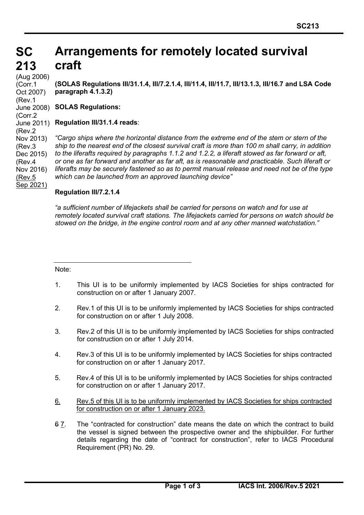## **SC SC 213 213 Arrangements for remotely located survival craft**

(Aug 2006) (Corr.1 Oct 2007) (Rev.1 (Corr.2 (Rev.2 Nov 2013) (Rev.3 Dec 2015) (Rev.4 Nov 2016) (Rev.5 Sep 2021)

**(SOLAS Regulations III/31.1.4, III/7.2.1.4, III/11.4, III/11.7, III/13.1.3, III/16.7 and LSA Code paragraph 4.1.3.2)**

**SOLAS Regulations:** June 2008)

# **Regulation III/31.1.4 reads**: June 2011)

*"Cargo ships where the horizontal distance from the extreme end of the stem or stern of the ship to the nearest end of the closest survival craft is more than 100 m shall carry, in addition to the liferafts required by paragraphs 1.1.2 and 1.2.2, a liferaft stowed as far forward or aft, or one as far forward and another as far aft, as is reasonable and practicable. Such liferaft or liferafts may be securely fastened so as to permit manual release and need not be of the type which can be launched from an approved launching device"*

## **Regulation III/7.2.1.4**

*"a sufficient number of lifejackets shall be carried for persons on watch and for use at remotely located survival craft stations. The lifejackets carried for persons on watch should be stowed on the bridge, in the engine control room and at any other manned watchstation."*

Note:

- 1. This UI is to be uniformly implemented by IACS Societies for ships contracted for construction on or after 1 January 2007.
- 2. Rev.1 of this UI is to be uniformly implemented by IACS Societies for ships contracted for construction on or after 1 July 2008.
- 3. Rev.2 of this UI is to be uniformly implemented by IACS Societies for ships contracted for construction on or after 1 July 2014.
- 4. Rev.3 of this UI is to be uniformly implemented by IACS Societies for ships contracted for construction on or after 1 January 2017.
- 5. Rev.4 of this UI is to be uniformly implemented by IACS Societies for ships contracted for construction on or after 1 January 2017.
- 6. Rev.5 of this UI is to be uniformly implemented by IACS Societies for ships contracted for construction on or after 1 January 2023.
- 6 7. The "contracted for construction" date means the date on which the contract to build the vessel is signed between the prospective owner and the shipbuilder. For further details regarding the date of "contract for construction", refer to IACS Procedural Requirement (PR) No. 29.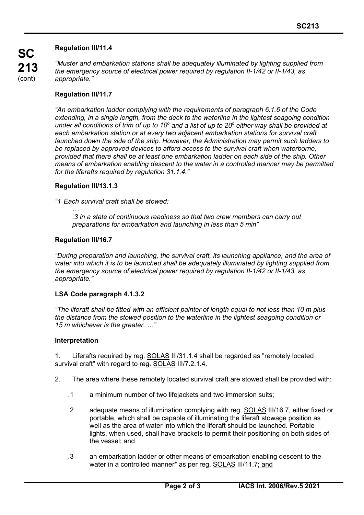## **Regulation III/11.4**

*"Muster and embarkation stations shall be adequately illuminated by lighting supplied from the emergency source of electrical power required by regulation II-1/42 or II-1/43, as appropriate."*

## **Regulation III/11.7**

*"An embarkation ladder complying with the requirements of paragraph 6.1.6 of the Code extending, in a single length, from the deck to the waterline in the lightest seagoing condition under all conditions of trim of up to 10<sup>o</sup> and a list of up to 20o either way shall be provided at each embarkation station or at every two adjacent embarkation stations for survival craft launched down the side of the ship. However, the Administration may permit such ladders to be replaced by approved devices to afford access to the survival craft when waterborne, provided that there shall be at least one embarkation ladder on each side of the ship. Other means of embarkation enabling descent to the water in a controlled manner may be permitted for the liferafts required by regulation 31.1.4."*

## **Regulation III/13.1.3**

*"1 Each survival craft shall be stowed:*

 *… .3 in a state of continuous readiness so that two crew members can carry out preparations for embarkation and launching in less than 5 min"*

## **Regulation III/16.7**

*"During preparation and launching, the survival craft, its launching appliance, and the area of water into which it is to be launched shall be adequately illuminated by lighting supplied from the emergency source of electrical power required by regulation II-1/42 or II-1/43, as appropriate."*

## **LSA Code paragraph 4.1.3.2**

*"The liferaft shall be fitted with an efficient painter of length equal to not less than 10 m plus the distance from the stowed position to the waterline in the lightest seagoing condition or 15 m whichever is the greater. …"*

## **Interpretation**

1. Liferafts required by reg. SOLAS III/31.1.4 shall be regarded as "remotely located survival craft" with regard to reg. SOLAS III/7.2.1.4.

- 2. The area where these remotely located survival craft are stowed shall be provided with:
	- .1 a minimum number of two lifejackets and two immersion suits;
	- .2 adequate means of illumination complying with reg. SOLAS III/16.7, either fixed or portable, which shall be capable of illuminating the liferaft stowage position as well as the area of water into which the liferaft should be launched. Portable lights, when used, shall have brackets to permit their positioning on both sides of the vessel; and
	- .3 an embarkation ladder or other means of embarkation enabling descent to the water in a controlled manner\* as per reg. SOLAS III/11.7; and